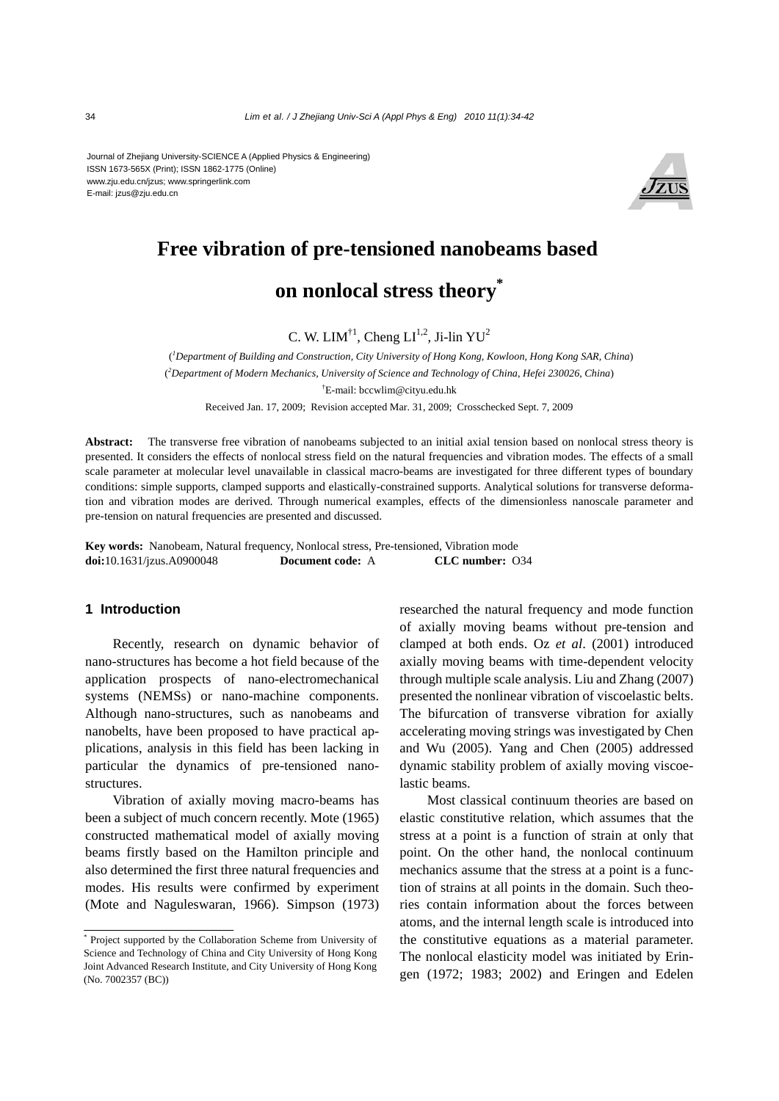Journal of Zhejiang University-SCIENCE A (Applied Physics & Engineering) ISSN 1673-565X (Print); ISSN 1862-1775 (Online) www.zju.edu.cn/jzus; www.springerlink.com E-mail: jzus@zju.edu.cn



# **Free vibration of pre-tensioned nanobeams based on nonlocal stress theory\***

C. W. LIM<sup>†1</sup>, Cheng LI<sup>1,2</sup>, Ji-lin YU<sup>2</sup>

( *1 Department of Building and Construction, City University of Hong Kong, Kowloon, Hong Kong SAR, China*) ( *2 Department of Modern Mechanics, University of Science and Technology of China, Hefei 230026, China*) † E-mail: bccwlim@cityu.edu.hk

Received Jan. 17, 2009; Revision accepted Mar. 31, 2009; Crosschecked Sept. 7, 2009

**Abstract:** The transverse free vibration of nanobeams subjected to an initial axial tension based on nonlocal stress theory is presented. It considers the effects of nonlocal stress field on the natural frequencies and vibration modes. The effects of a small scale parameter at molecular level unavailable in classical macro-beams are investigated for three different types of boundary conditions: simple supports, clamped supports and elastically-constrained supports. Analytical solutions for transverse deformation and vibration modes are derived. Through numerical examples, effects of the dimensionless nanoscale parameter and pre-tension on natural frequencies are presented and discussed.

**Key words:** Nanobeam, Natural frequency, Nonlocal stress, Pre-tensioned, Vibration mode **doi:**10.1631/jzus.A0900048 **Document code:** A **CLC number:** O34

### **1 Introduction**

Recently, research on dynamic behavior of nano-structures has become a hot field because of the application prospects of nano-electromechanical systems (NEMSs) or nano-machine components. Although nano-structures, such as nanobeams and nanobelts, have been proposed to have practical applications, analysis in this field has been lacking in particular the dynamics of pre-tensioned nanostructures.

Vibration of axially moving macro-beams has been a subject of much concern recently. Mote (1965) constructed mathematical model of axially moving beams firstly based on the Hamilton principle and also determined the first three natural frequencies and modes. His results were confirmed by experiment (Mote and Naguleswaran, 1966). Simpson (1973) researched the natural frequency and mode function of axially moving beams without pre-tension and clamped at both ends. Oz *et al*. (2001) introduced axially moving beams with time-dependent velocity through multiple scale analysis. Liu and Zhang (2007) presented the nonlinear vibration of viscoelastic belts. The bifurcation of transverse vibration for axially accelerating moving strings was investigated by Chen and Wu (2005). Yang and Chen (2005) addressed dynamic stability problem of axially moving viscoelastic beams.

Most classical continuum theories are based on elastic constitutive relation, which assumes that the stress at a point is a function of strain at only that point. On the other hand, the nonlocal continuum mechanics assume that the stress at a point is a function of strains at all points in the domain. Such theories contain information about the forces between atoms, and the internal length scale is introduced into the constitutive equations as a material parameter. The nonlocal elasticity model was initiated by Eringen (1972; 1983; 2002) and Eringen and Edelen

<sup>\*</sup> Project supported by the Collaboration Scheme from University of Science and Technology of China and City University of Hong Kong Joint Advanced Research Institute, and City University of Hong Kong (No. 7002357 (BC))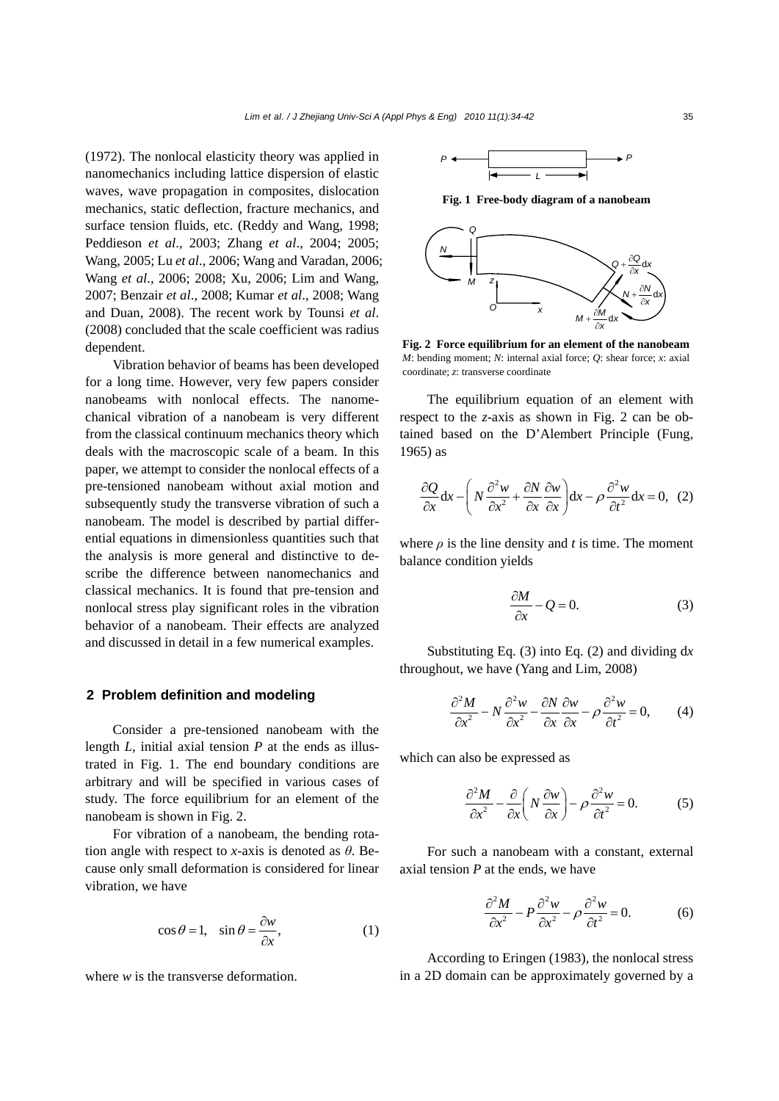(1972). The nonlocal elasticity theory was applied in nanomechanics including lattice dispersion of elastic waves, wave propagation in composites, dislocation mechanics, static deflection, fracture mechanics, and surface tension fluids, etc. (Reddy and Wang, 1998; Peddieson *et al*., 2003; Zhang *et al*., 2004; 2005; Wang, 2005; Lu *et al*., 2006; Wang and Varadan, 2006; Wang *et al*., 2006; 2008; Xu, 2006; Lim and Wang, 2007; Benzair *et al*., 2008; Kumar *et al*., 2008; Wang and Duan, 2008). The recent work by Tounsi *et al*. (2008) concluded that the scale coefficient was radius dependent.

Vibration behavior of beams has been developed for a long time. However, very few papers consider nanobeams with nonlocal effects. The nanomechanical vibration of a nanobeam is very different from the classical continuum mechanics theory which deals with the macroscopic scale of a beam. In this paper, we attempt to consider the nonlocal effects of a pre-tensioned nanobeam without axial motion and subsequently study the transverse vibration of such a nanobeam. The model is described by partial differential equations in dimensionless quantities such that the analysis is more general and distinctive to describe the difference between nanomechanics and classical mechanics. It is found that pre-tension and nonlocal stress play significant roles in the vibration behavior of a nanobeam. Their effects are analyzed and discussed in detail in a few numerical examples.

#### **2 Problem definition and modeling**

Consider a pre-tensioned nanobeam with the length *L*, initial axial tension *P* at the ends as illustrated in Fig. 1. The end boundary conditions are arbitrary and will be specified in various cases of study. The force equilibrium for an element of the nanobeam is shown in Fig. 2.

For vibration of a nanobeam, the bending rotation angle with respect to *x*-axis is denoted as *θ*. Because only small deformation is considered for linear vibration, we have

$$
\cos \theta = 1, \quad \sin \theta = \frac{\partial w}{\partial x}, \tag{1}
$$

where *w* is the transverse deformation.



**Fig. 1 Free-body diagram of a nanobeam**



**Fig. 2 Force equilibrium for an element of the nanobeam** *M*: bending moment; *N*: internal axial force; *Q*: shear force; *x*: axial coordinate; *z*: transverse coordinate

The equilibrium equation of an element with respect to the *z*-axis as shown in Fig. 2 can be obtained based on the D'Alembert Principle (Fung, 1965) as

$$
\frac{\partial Q}{\partial x} dx - \left( N \frac{\partial^2 w}{\partial x^2} + \frac{\partial N}{\partial x} \frac{\partial w}{\partial x} \right) dx - \rho \frac{\partial^2 w}{\partial t^2} dx = 0, \quad (2)
$$

where  $\rho$  is the line density and *t* is time. The moment balance condition yields

$$
\frac{\partial M}{\partial x} - Q = 0. \tag{3}
$$

Substituting Eq. (3) into Eq. (2) and dividing d*x* throughout, we have (Yang and Lim, 2008)

$$
\frac{\partial^2 M}{\partial x^2} - N \frac{\partial^2 w}{\partial x^2} - \frac{\partial N}{\partial x} \frac{\partial w}{\partial x} - \rho \frac{\partial^2 w}{\partial t^2} = 0, \qquad (4)
$$

which can also be expressed as

$$
\frac{\partial^2 M}{\partial x^2} - \frac{\partial}{\partial x} \left( N \frac{\partial w}{\partial x} \right) - \rho \frac{\partial^2 w}{\partial t^2} = 0.
$$
 (5)

For such a nanobeam with a constant, external axial tension *P* at the ends, we have

$$
\frac{\partial^2 M}{\partial x^2} - P \frac{\partial^2 w}{\partial x^2} - \rho \frac{\partial^2 w}{\partial t^2} = 0.
$$
 (6)

According to Eringen (1983), the nonlocal stress in a 2D domain can be approximately governed by a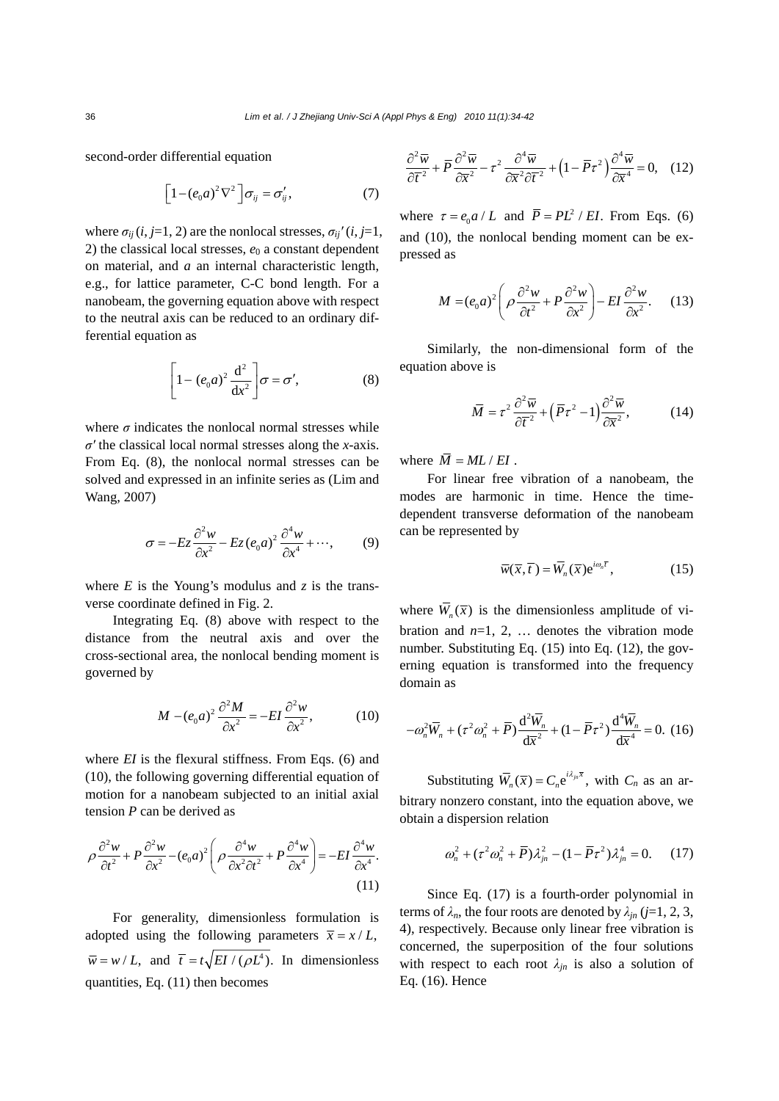second-order differential equation

$$
\[1-(e_0a)^2\nabla^2\]\sigma_{ij}=\sigma'_{ij},\qquad(7)
$$

where  $\sigma_{ij}$  (*i*, *j*=1, 2) are the nonlocal stresses,  $\sigma_{ij}$ <sup>*'*</sup> (*i*, *j*=1, 2) the classical local stresses,  $e_0$  a constant dependent on material, and *a* an internal characteristic length, e.g., for lattice parameter, C-C bond length. For a nanobeam, the governing equation above with respect to the neutral axis can be reduced to an ordinary differential equation as

$$
\left[1 - (e_0 a)^2 \frac{d^2}{dx^2}\right] \sigma = \sigma',\tag{8}
$$

where  $\sigma$  indicates the nonlocal normal stresses while *σ′* the classical local normal stresses along the *x*-axis. From Eq. (8), the nonlocal normal stresses can be solved and expressed in an infinite series as (Lim and Wang, 2007)

$$
\sigma = -Ez \frac{\partial^2 w}{\partial x^2} - Ez(e_0 a)^2 \frac{\partial^4 w}{\partial x^4} + \cdots,
$$
 (9)

where  $E$  is the Young's modulus and  $\zeta$  is the transverse coordinate defined in Fig. 2.

Integrating Eq. (8) above with respect to the distance from the neutral axis and over the cross-sectional area, the nonlocal bending moment is governed by

$$
M - (e_0 a)^2 \frac{\partial^2 M}{\partial x^2} = -EI \frac{\partial^2 w}{\partial x^2},\tag{10}
$$

where *EI* is the flexural stiffness. From Eqs. (6) and (10), the following governing differential equation of motion for a nanobeam subjected to an initial axial tension *P* can be derived as

$$
\rho \frac{\partial^2 w}{\partial t^2} + P \frac{\partial^2 w}{\partial x^2} - (e_0 a)^2 \left( \rho \frac{\partial^4 w}{\partial x^2 \partial t^2} + P \frac{\partial^4 w}{\partial x^4} \right) = -EI \frac{\partial^4 w}{\partial x^4}.
$$
\n(11)

For generality, dimensionless formulation is adopted using the following parameters  $\bar{x} = x/L$ ,  $\overline{w} = w/L$ , and  $\overline{t} = t\sqrt{EI/(\rho L^4)}$ . In dimensionless quantities, Eq. (11) then becomes

$$
\frac{\partial^2 \overline{w}}{\partial \overline{t}^2} + \overline{P} \frac{\partial^2 \overline{w}}{\partial \overline{x}^2} - \tau^2 \frac{\partial^4 \overline{w}}{\partial \overline{x}^2 \partial \overline{t}^2} + \left(1 - \overline{P} \tau^2\right) \frac{\partial^4 \overline{w}}{\partial \overline{x}^4} = 0, \quad (12)
$$

where  $\tau = e_0 a / L$  and  $\overline{P} = PL^2 / EI$ . From Eqs. (6) and (10), the nonlocal bending moment can be expressed as

$$
M = (e_0 a)^2 \left( \rho \frac{\partial^2 w}{\partial t^2} + P \frac{\partial^2 w}{\partial x^2} \right) - EI \frac{\partial^2 w}{\partial x^2}.
$$
 (13)

Similarly, the non-dimensional form of the equation above is

$$
\overline{M} = \tau^2 \frac{\partial^2 \overline{w}}{\partial \overline{t}^2} + \left(\overline{P}\tau^2 - 1\right) \frac{\partial^2 \overline{w}}{\partial \overline{x}^2},\tag{14}
$$

where  $\overline{M} = ML / EI$ .

For linear free vibration of a nanobeam, the modes are harmonic in time. Hence the timedependent transverse deformation of the nanobeam can be represented by

$$
\overline{w}(\overline{x}, \overline{t}) = \overline{W}_n(\overline{x}) e^{i\omega_n \overline{t}}, \qquad (15)
$$

where  $\overline{W}_n(\overline{x})$  is the dimensionless amplitude of vibration and  $n=1, 2, \ldots$  denotes the vibration mode number. Substituting Eq. (15) into Eq. (12), the governing equation is transformed into the frequency domain as

$$
-\omega_n^2 \overline{W}_n + (\tau^2 \omega_n^2 + \overline{P}) \frac{d^2 \overline{W}_n}{d\overline{x}^2} + (1 - \overline{P} \tau^2) \frac{d^4 \overline{W}_n}{d\overline{x}^4} = 0. \tag{16}
$$

Substituting  $\overline{W}_n(\overline{x}) = C_n e^{i\lambda_{jn} \overline{x}}$ , with  $C_n$  as an arbitrary nonzero constant, into the equation above, we obtain a dispersion relation

$$
\omega_n^2 + (\tau^2 \omega_n^2 + \overline{P}) \lambda_{jn}^2 - (1 - \overline{P} \tau^2) \lambda_{jn}^4 = 0. \quad (17)
$$

Since Eq. (17) is a fourth-order polynomial in terms of  $\lambda_n$ , the four roots are denoted by  $\lambda_{in}$  (*j*=1, 2, 3, 4), respectively. Because only linear free vibration is concerned, the superposition of the four solutions with respect to each root  $\lambda_{in}$  is also a solution of Eq. (16). Hence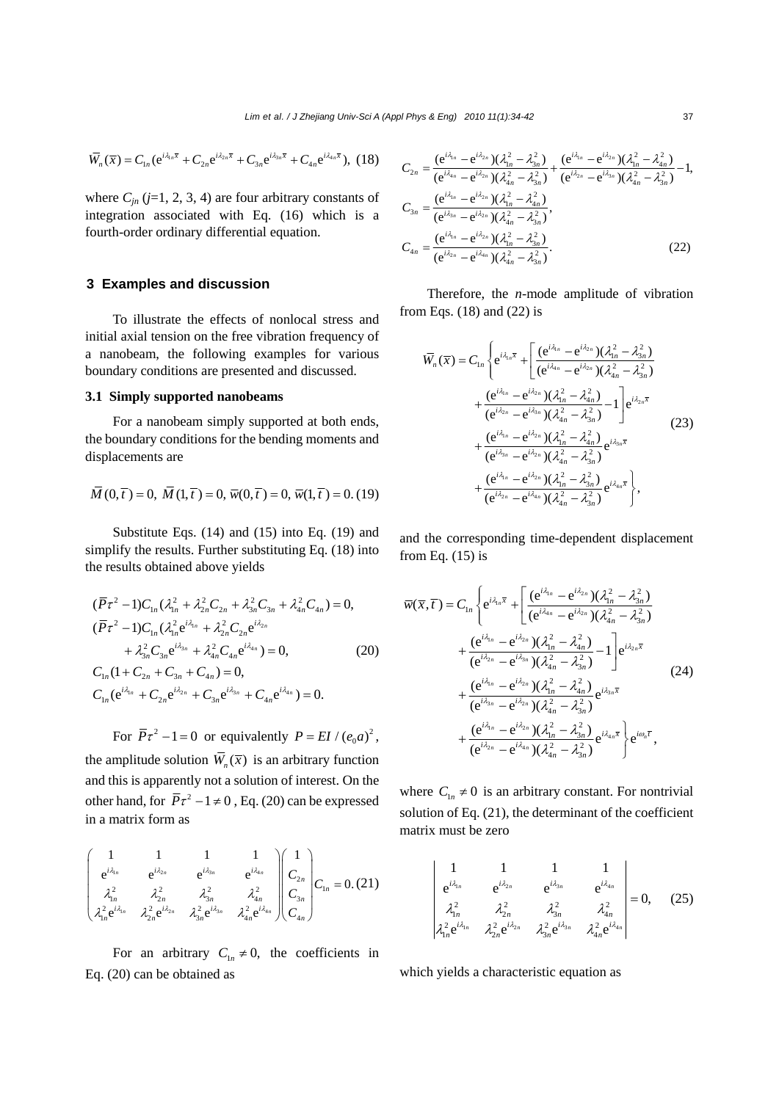$$
\overline{W}_n(\overline{x}) = C_{1n} (e^{i\lambda_{1n}\overline{x}} + C_{2n} e^{i\lambda_{2n}\overline{x}} + C_{3n} e^{i\lambda_{3n}\overline{x}} + C_{4n} e^{i\lambda_{4n}\overline{x}}), (18)
$$

where  $C_{jn}$  ( $j=1, 2, 3, 4$ ) are four arbitrary constants of integration associated with Eq. (16) which is a fourth-order ordinary differential equation.

### **3 Examples and discussion**

To illustrate the effects of nonlocal stress and initial axial tension on the free vibration frequency of a nanobeam, the following examples for various boundary conditions are presented and discussed.

#### **3.1 Simply supported nanobeams**

For a nanobeam simply supported at both ends, the boundary conditions for the bending moments and displacements are

$$
\overline{M}(0,\overline{t}) = 0, \ \overline{M}(1,\overline{t}) = 0, \ \overline{w}(0,\overline{t}) = 0, \ \overline{w}(1,\overline{t}) = 0. \ (19)
$$

Substitute Eqs. (14) and (15) into Eq. (19) and simplify the results. Further substituting Eq. (18) into the results obtained above yields

$$
(\overline{P}\tau^2 - 1)C_{1n}(\lambda_{1n}^2 + \lambda_{2n}^2 C_{2n} + \lambda_{3n}^2 C_{3n} + \lambda_{4n}^2 C_{4n}) = 0,
$$
  
\n
$$
(\overline{P}\tau^2 - 1)C_{1n}(\lambda_{1n}^2 e^{i\lambda_{1n}} + \lambda_{2n}^2 C_{2n} e^{i\lambda_{2n}} + \lambda_{3n}^2 C_{3n} e^{i\lambda_{3n}} + \lambda_{4n}^2 C_{4n} e^{i\lambda_{4n}}) = 0,
$$
\n
$$
C_{1n} (1 + C_{2n} + C_{3n} + C_{4n}) = 0,
$$
\n
$$
C_{1n} (e^{i\lambda_{1n}} + C_{2n} e^{i\lambda_{2n}} + C_{3n} e^{i\lambda_{3n}} + C_{4n} e^{i\lambda_{4n}}) = 0.
$$
\n(20)

For  $\overline{P}\tau^2 - 1 = 0$  or equivalently  $P = EI / (e_0 a)^2$ ,

the amplitude solution  $\overline{W}_n(\overline{x})$  is an arbitrary function and this is apparently not a solution of interest. On the other hand, for  $\overline{P}\tau^2 - 1 \neq 0$ , Eq. (20) can be expressed in a matrix form as

$$
\begin{pmatrix}\n1 & 1 & 1 & 1 \\
e^{i\lambda_{1n}} & e^{i\lambda_{2n}} & e^{i\lambda_{3n}} & e^{i\lambda_{4n}} \\
\lambda_{1n}^2 & \lambda_{2n}^2 & \lambda_{3n}^2 & \lambda_{4n}^2 \\
\lambda_{1n}^2 e^{i\lambda_{1n}} & \lambda_{2n}^2 e^{i\lambda_{2n}} & \lambda_{3n}^2 e^{i\lambda_{3n}} & \lambda_{4n}^2 e^{i\lambda_{4n}}\n\end{pmatrix}\n\begin{pmatrix}\n1 \\
C_{2n} \\
C_{3n} \\
C_{4n}\n\end{pmatrix}\nC_{1n} = 0. (21)
$$

For an arbitrary  $C_{1n} \neq 0$ , the coefficients in Eq. (20) can be obtained as

$$
C_{2n} = \frac{(e^{i\lambda_{1n}} - e^{i\lambda_{2n}})(\lambda_{1n}^{2} - \lambda_{3n}^{2})}{(e^{i\lambda_{4n}} - e^{i\lambda_{2n}})(\lambda_{4n}^{2} - \lambda_{3n}^{2})} + \frac{(e^{i\lambda_{1n}} - e^{i\lambda_{2n}})(\lambda_{1n}^{2} - \lambda_{4n}^{2})}{(e^{i\lambda_{2n}} - e^{i\lambda_{2n}})(\lambda_{4n}^{2} - \lambda_{3n}^{2})} - 1,
$$
  
\n
$$
C_{3n} = \frac{(e^{i\lambda_{1n}} - e^{i\lambda_{2n}})(\lambda_{1n}^{2} - \lambda_{4n}^{2})}{(e^{i\lambda_{2n}} - e^{i\lambda_{2n}})(\lambda_{4n}^{2} - \lambda_{3n}^{2})},
$$
  
\n
$$
C_{4n} = \frac{(e^{i\lambda_{1n}} - e^{i\lambda_{2n}})(\lambda_{1n}^{2} - \lambda_{3n}^{2})}{(e^{i\lambda_{2n}} - e^{i\lambda_{4n}})(\lambda_{4n}^{2} - \lambda_{3n}^{2})}.
$$
\n(22)

Therefore, the *n*-mode amplitude of vibration from Eqs. (18) and (22) is

$$
\overline{W}_{n}(\overline{x}) = C_{1n} \left\{ e^{i\lambda_{1n}\overline{x}} + \left[ \frac{(e^{i\lambda_{1n}} - e^{i\lambda_{2n}})(\lambda_{1n}^{2} - \lambda_{3n}^{2})}{(e^{i\lambda_{1n}} - e^{i\lambda_{2n}})(\lambda_{4n}^{2} - \lambda_{3n}^{2})} + \frac{(e^{i\lambda_{1n}} - e^{i\lambda_{2n}})(\lambda_{1n}^{2} - \lambda_{4n}^{2})}{(e^{i\lambda_{2n}} - e^{i\lambda_{3n}})(\lambda_{4n}^{2} - \lambda_{4n}^{2})} - 1 \right] e^{i\lambda_{2n}\overline{x}} + \frac{(e^{i\lambda_{1n}} - e^{i\lambda_{2n}})(\lambda_{1n}^{2} - \lambda_{4n}^{2})}{(e^{i\lambda_{3n}} - e^{i\lambda_{2n}})(\lambda_{1n}^{2} - \lambda_{4n}^{2})} e^{i\lambda_{3n}\overline{x}} + \frac{(e^{i\lambda_{1n}} - e^{i\lambda_{2n}})(\lambda_{1n}^{2} - \lambda_{3n}^{2})}{(e^{i\lambda_{2n}} - e^{i\lambda_{4n}})(\lambda_{1n}^{2} - \lambda_{3n}^{2})} e^{i\lambda_{4n}\overline{x}} \right\},
$$
\n(23)

and the corresponding time-dependent displacement from Eq.  $(15)$  is

$$
\overline{w}(\overline{x},\overline{t}) = C_{1n} \left\{ e^{i\lambda_{1n}\overline{x}} + \left[ \frac{(e^{i\lambda_{1n}} - e^{i\lambda_{2n}})(\lambda_{1n}^2 - \lambda_{3n}^2)}{(e^{i\lambda_{1n}} - e^{i\lambda_{2n}})(\lambda_{4n}^2 - \lambda_{3n}^2)} + \frac{(e^{i\lambda_{1n}} - e^{i\lambda_{2n}})(\lambda_{1n}^2 - \lambda_{4n}^2)}{(e^{i\lambda_{2n}} - e^{i\lambda_{3n}})(\lambda_{4n}^2 - \lambda_{3n}^2)} - 1 \right] e^{i\lambda_{2n}\overline{x}} + \frac{(e^{i\lambda_{1n}} - e^{i\lambda_{2n}})(\lambda_{1n}^2 - \lambda_{4n}^2)}{(e^{i\lambda_{3n}} - e^{i\lambda_{2n}})(\lambda_{4n}^2 - \lambda_{3n}^2)} e^{i\lambda_{3n}\overline{x}} + \frac{(e^{i\lambda_{1n}} - e^{i\lambda_{2n}})(\lambda_{1n}^2 - \lambda_{3n}^2)}{(e^{i\lambda_{1n}} - e^{i\lambda_{2n}})(\lambda_{1n}^2 - \lambda_{3n}^2)} e^{i\lambda_{4n}\overline{x}} \right\} e^{i\omega_n\overline{t}},
$$
\n(24)

where  $C_{1n} \neq 0$  is an arbitrary constant. For nontrivial solution of Eq. (21), the determinant of the coefficient matrix must be zero

$$
\begin{vmatrix}\n1 & 1 & 1 & 1 \\
e^{i\lambda_{1n}} & e^{i\lambda_{2n}} & e^{i\lambda_{3n}} & e^{i\lambda_{4n}} \\
\lambda_{1n}^2 & \lambda_{2n}^2 & \lambda_{3n}^2 & \lambda_{4n}^2 \\
\lambda_{1n}^2 e^{i\lambda_{1n}} & \lambda_{2n}^2 e^{i\lambda_{2n}} & \lambda_{3n}^2 e^{i\lambda_{3n}} & \lambda_{4n}^2 e^{i\lambda_{4n}}\n\end{vmatrix} = 0, \quad (25)
$$

which yields a characteristic equation as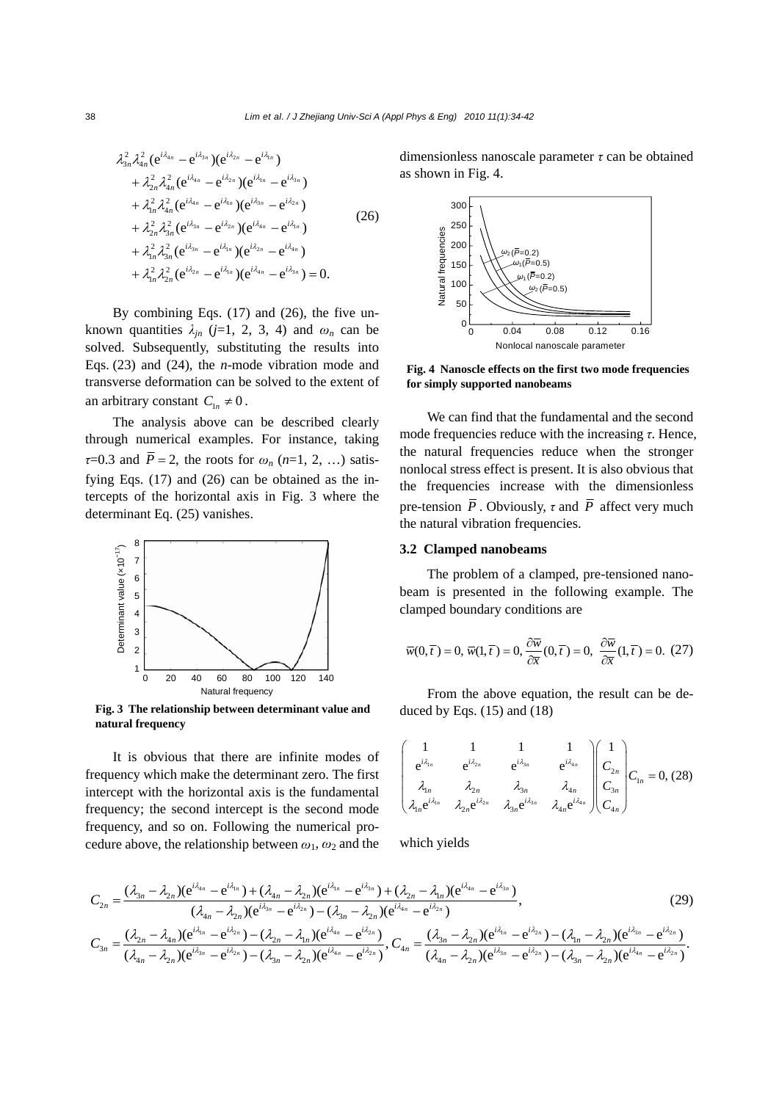$$
\lambda_{3n}^{2} \lambda_{4n}^{2} (e^{i\lambda_{4n}} - e^{i\lambda_{3n}}) (e^{i\lambda_{2n}} - e^{i\lambda_{1n}}) \n+ \lambda_{2n}^{2} \lambda_{4n}^{2} (e^{i\lambda_{4n}} - e^{i\lambda_{2n}}) (e^{i\lambda_{1n}} - e^{i\lambda_{3n}}) \n+ \lambda_{1n}^{2} \lambda_{4n}^{2} (e^{i\lambda_{4n}} - e^{i\lambda_{1n}}) (e^{i\lambda_{3n}} - e^{i\lambda_{2n}}) \n+ \lambda_{2n}^{2} \lambda_{3n}^{2} (e^{i\lambda_{3n}} - e^{i\lambda_{2n}}) (e^{i\lambda_{4n}} - e^{i\lambda_{1n}}) \n+ \lambda_{1n}^{2} \lambda_{3n}^{2} (e^{i\lambda_{3n}} - e^{i\lambda_{1n}}) (e^{i\lambda_{2n}} - e^{i\lambda_{4n}}) \n+ \lambda_{1n}^{2} \lambda_{2n}^{2} (e^{i\lambda_{2n}} - e^{i\lambda_{1n}}) (e^{i\lambda_{4n}} - e^{i\lambda_{3n}}) = 0.
$$
\n(26)

By combining Eqs. (17) and (26), the five unknown quantities  $\lambda_{in}$  (*j*=1, 2, 3, 4) and  $\omega_n$  can be solved. Subsequently, substituting the results into Eqs. (23) and (24), the *n*-mode vibration mode and transverse deformation can be solved to the extent of an arbitrary constant  $C_{1n} \neq 0$ .

The analysis above can be described clearly through numerical examples. For instance, taking  $\tau$ =0.3 and  $\bar{P}$  = 2, the roots for  $\omega$ <sup>*n*</sup> (*n*=1, 2, …) satisfying Eqs. (17) and (26) can be obtained as the intercepts of the horizontal axis in Fig. 3 where the determinant Eq. (25) vanishes.



**Fig. 3 The relationship between determinant value and natural frequency** 

It is obvious that there are infinite modes of frequency which make the determinant zero. The first intercept with the horizontal axis is the fundamental frequency; the second intercept is the second mode frequency, and so on. Following the numerical procedure above, the relationship between  $\omega_1$ ,  $\omega_2$  and the

dimensionless nanoscale parameter *τ* can be obtained as shown in Fig. 4.



**Fig. 4 Nanoscle effects on the first two mode frequencies for simply supported nanobeams** 

We can find that the fundamental and the second mode frequencies reduce with the increasing *τ*. Hence, the natural frequencies reduce when the stronger nonlocal stress effect is present. It is also obvious that the frequencies increase with the dimensionless pre-tension  $\overline{P}$ . Obviously,  $\tau$  and  $\overline{P}$  affect very much the natural vibration frequencies.

# **3.2 Clamped nanobeams**

The problem of a clamped, pre-tensioned nanobeam is presented in the following example. The clamped boundary conditions are

$$
\overline{w}(0,\overline{t}) = 0, \,\overline{w}(1,\overline{t}) = 0, \frac{\partial \overline{w}}{\partial \overline{x}}(0,\overline{t}) = 0, \,\,\frac{\partial \overline{w}}{\partial \overline{x}}(1,\overline{t}) = 0. \,\,(27)
$$

From the above equation, the result can be deduced by Eqs.  $(15)$  and  $(18)$ 

$$
\begin{pmatrix}\n1 & 1 & 1 & 1 \\
e^{i\lambda_{1n}} & e^{i\lambda_{2n}} & e^{i\lambda_{3n}} & e^{i\lambda_{4n}} \\
\lambda_{1n} & \lambda_{2n} & \lambda_{3n} & \lambda_{4n} \\
\lambda_{1n}e^{i\lambda_{1n}} & \lambda_{2n}e^{i\lambda_{2n}} & \lambda_{3n}e^{i\lambda_{3n}} & \lambda_{4n}e^{i\lambda_{4n}}\n\end{pmatrix}\n\begin{pmatrix}\n1 \\
C_{2n} \\
C_{3n} \\
C_{4n}\n\end{pmatrix}\nC_{1n} = 0, (28)
$$

which yields

$$
C_{2n} = \frac{(\lambda_{3n} - \lambda_{2n})(e^{i\lambda_{4n}} - e^{i\lambda_{1n}}) + (\lambda_{4n} - \lambda_{2n})(e^{i\lambda_{4n}} - e^{i\lambda_{3n}}) + (\lambda_{2n} - \lambda_{1n})(e^{i\lambda_{4n}} - e^{i\lambda_{3n}})}{(\lambda_{4n} - \lambda_{2n})(e^{i\lambda_{3n}} - e^{i\lambda_{2n}}) - (\lambda_{3n} - \lambda_{2n})(e^{i\lambda_{4n}} - e^{i\lambda_{2n}})},
$$
\n
$$
C_{3n} = \frac{(\lambda_{2n} - \lambda_{4n})(e^{i\lambda_{1n}} - e^{i\lambda_{2n}}) - (\lambda_{2n} - \lambda_{1n})(e^{i\lambda_{4n}} - e^{i\lambda_{2n}})}{(\lambda_{4n} - \lambda_{2n})(e^{i\lambda_{3n}} - e^{i\lambda_{2n}}) - (\lambda_{3n} - \lambda_{2n})(e^{i\lambda_{4n}} - e^{i\lambda_{2n}})},
$$
\n
$$
C_{4n} = \frac{(\lambda_{3n} - \lambda_{2n})(e^{i\lambda_{3n}} - e^{i\lambda_{2n}}) - (\lambda_{1n} - \lambda_{2n})(e^{i\lambda_{3n}} - e^{i\lambda_{2n}})}{(\lambda_{4n} - \lambda_{2n})(e^{i\lambda_{3n}} - e^{i\lambda_{2n}}) - (\lambda_{3n} - \lambda_{2n})(e^{i\lambda_{4n}} - e^{i\lambda_{2n}})}.
$$
\n(29)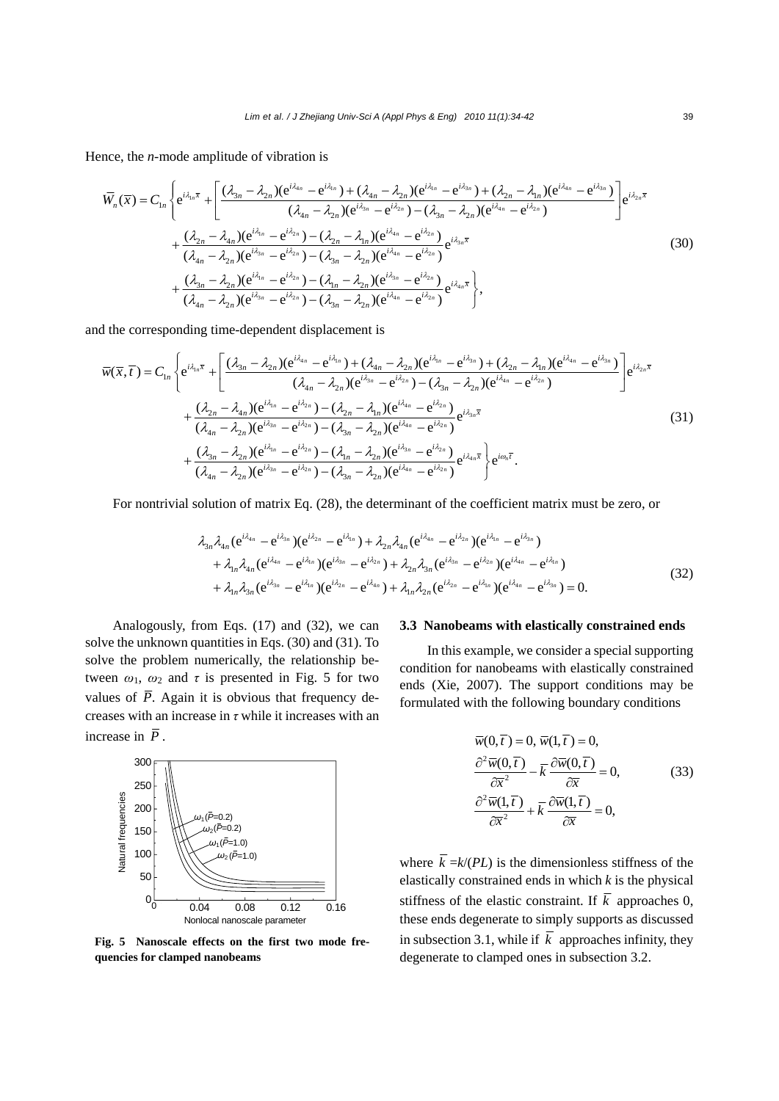Hence, the *n*-mode amplitude of vibration is

$$
\overline{W}_{n}(\overline{x}) = C_{1n} \left\{ e^{i\lambda_{1n}\overline{x}} + \left[ \frac{(\lambda_{3n} - \lambda_{2n})(e^{i\lambda_{1n}} - e^{i\lambda_{1n}}) + (\lambda_{4n} - \lambda_{2n})(e^{i\lambda_{1n}} - e^{i\lambda_{3n}}) + (\lambda_{2n} - \lambda_{1n})(e^{i\lambda_{4n}} - e^{i\lambda_{3n}})}{(\lambda_{4n} - \lambda_{2n})(e^{i\lambda_{4n}} - e^{i\lambda_{2n}}) - (\lambda_{3n} - \lambda_{2n})(e^{i\lambda_{4n}} - e^{i\lambda_{2n}})} \right] e^{i\lambda_{2n}\overline{x}} + \frac{(\lambda_{2n} - \lambda_{4n})(e^{i\lambda_{4n}} - e^{i\lambda_{2n}}) - (\lambda_{2n} - \lambda_{1n})(e^{i\lambda_{4n}} - e^{i\lambda_{2n}})}{(\lambda_{4n} - \lambda_{2n})(e^{i\lambda_{3n}} - e^{i\lambda_{2n}}) - (\lambda_{3n} - \lambda_{2n})(e^{i\lambda_{4n}} - e^{i\lambda_{2n}})} e^{i\lambda_{3n}\overline{x}} + \frac{(\lambda_{3n} - \lambda_{2n})(e^{i\lambda_{3n}} - e^{i\lambda_{2n}}) - (\lambda_{3n} - \lambda_{2n})(e^{i\lambda_{4n}} - e^{i\lambda_{2n}})}{(\lambda_{4n} - \lambda_{2n})(e^{i\lambda_{4n}} - e^{i\lambda_{2n}}) - (\lambda_{1n} - \lambda_{2n})(e^{i\lambda_{4n}} - e^{i\lambda_{2n}})} e^{i\lambda_{4n}\overline{x}} \right\},
$$
\n(30)

and the corresponding time-dependent displacement is

$$
\overline{w}(\overline{x},\overline{t})=C_{1n}\left\{e^{i\lambda_{1n}\overline{x}}+\left[\frac{(\lambda_{3n}-\lambda_{2n})(e^{i\lambda_{4n}}-e^{i\lambda_{1n}})+(\lambda_{4n}-\lambda_{2n})(e^{i\lambda_{1n}}-e^{i\lambda_{3n}})+(\lambda_{2n}-\lambda_{1n})(e^{i\lambda_{4n}}-e^{i\lambda_{3n}})}{(\lambda_{4n}-\lambda_{2n})(e^{i\lambda_{3n}}-e^{i\lambda_{2n}})-(\lambda_{3n}-\lambda_{2n})(e^{i\lambda_{4n}}-e^{i\lambda_{2n}})}\right\}e^{i\lambda_{2n}\overline{x}}+\frac{(\lambda_{2n}-\lambda_{4n})(e^{i\lambda_{4n}}-e^{i\lambda_{2n}})-(\lambda_{2n}-\lambda_{1n})(e^{i\lambda_{4n}}-e^{i\lambda_{2n}})}{(\lambda_{4n}-\lambda_{2n})(e^{i\lambda_{3n}}-e^{i\lambda_{2n}})-(\lambda_{3n}-\lambda_{1n})(e^{i\lambda_{4n}}-e^{i\lambda_{2n}})}e^{i\lambda_{3n}\overline{x}}+\frac{(\lambda_{3n}-\lambda_{2n})(e^{i\lambda_{3n}}-e^{i\lambda_{2n}})-(\lambda_{1n}-\lambda_{2n})(e^{i\lambda_{4n}}-e^{i\lambda_{2n}})}{(\lambda_{4n}-\lambda_{2n})(e^{i\lambda_{4n}}-e^{i\lambda_{2n}})-(\lambda_{1n}-\lambda_{2n})(e^{i\lambda_{4n}}-e^{i\lambda_{2n}})}e^{i\lambda_{4n}\overline{x}}\right\}e^{i\omega_{n}\overline{t}}.
$$
\n(31)

For nontrivial solution of matrix Eq. (28), the determinant of the coefficient matrix must be zero, or

$$
\lambda_{3n} \lambda_{4n} (e^{i\lambda_{4n}} - e^{i\lambda_{3n}}) (e^{i\lambda_{2n}} - e^{i\lambda_{1n}}) + \lambda_{2n} \lambda_{4n} (e^{i\lambda_{4n}} - e^{i\lambda_{2n}}) (e^{i\lambda_{1n}} - e^{i\lambda_{3n}}) \n+ \lambda_{1n} \lambda_{4n} (e^{i\lambda_{4n}} - e^{i\lambda_{1n}}) (e^{i\lambda_{3n}} - e^{i\lambda_{2n}}) + \lambda_{2n} \lambda_{3n} (e^{i\lambda_{3n}} - e^{i\lambda_{2n}}) (e^{i\lambda_{4n}} - e^{i\lambda_{1n}}) \n+ \lambda_{1n} \lambda_{3n} (e^{i\lambda_{3n}} - e^{i\lambda_{1n}}) (e^{i\lambda_{2n}} - e^{i\lambda_{4n}}) + \lambda_{1n} \lambda_{2n} (e^{i\lambda_{2n}} - e^{i\lambda_{1n}}) (e^{i\lambda_{4n}} - e^{i\lambda_{3n}}) = 0.
$$
\n(32)

Analogously, from Eqs. (17) and (32), we can solve the unknown quantities in Eqs. (30) and (31). To solve the problem numerically, the relationship between  $\omega_1$ ,  $\omega_2$  and  $\tau$  is presented in Fig. 5 for two values of  $\overline{P}$ . Again it is obvious that frequency decreases with an increase in *τ* while it increases with an increase in  $\overline{P}$ .



**Fig. 5 Nanoscale effects on the first two mode frequencies for clamped nanobeams** 

### **3.3 Nanobeams with elastically constrained ends**

In this example, we consider a special supporting condition for nanobeams with elastically constrained ends (Xie, 2007). The support conditions may be formulated with the following boundary conditions

$$
\overline{w}(0,\overline{t}) = 0, \,\overline{w}(1,\overline{t}) = 0, \n\frac{\partial^2 \overline{w}(0,\overline{t})}{\partial \overline{x}^2} - \overline{k} \frac{\partial \overline{w}(0,\overline{t})}{\partial \overline{x}} = 0, \n\frac{\partial^2 \overline{w}(1,\overline{t})}{\partial \overline{x}^2} + \overline{k} \frac{\partial \overline{w}(1,\overline{t})}{\partial \overline{x}} = 0,
$$
\n(33)

where  $\overline{k} = k/(PL)$  is the dimensionless stiffness of the elastically constrained ends in which *k* is the physical stiffness of the elastic constraint. If  $\overline{k}$  approaches 0, these ends degenerate to simply supports as discussed in subsection 3.1, while if  $\overline{k}$  approaches infinity, they degenerate to clamped ones in subsection 3.2.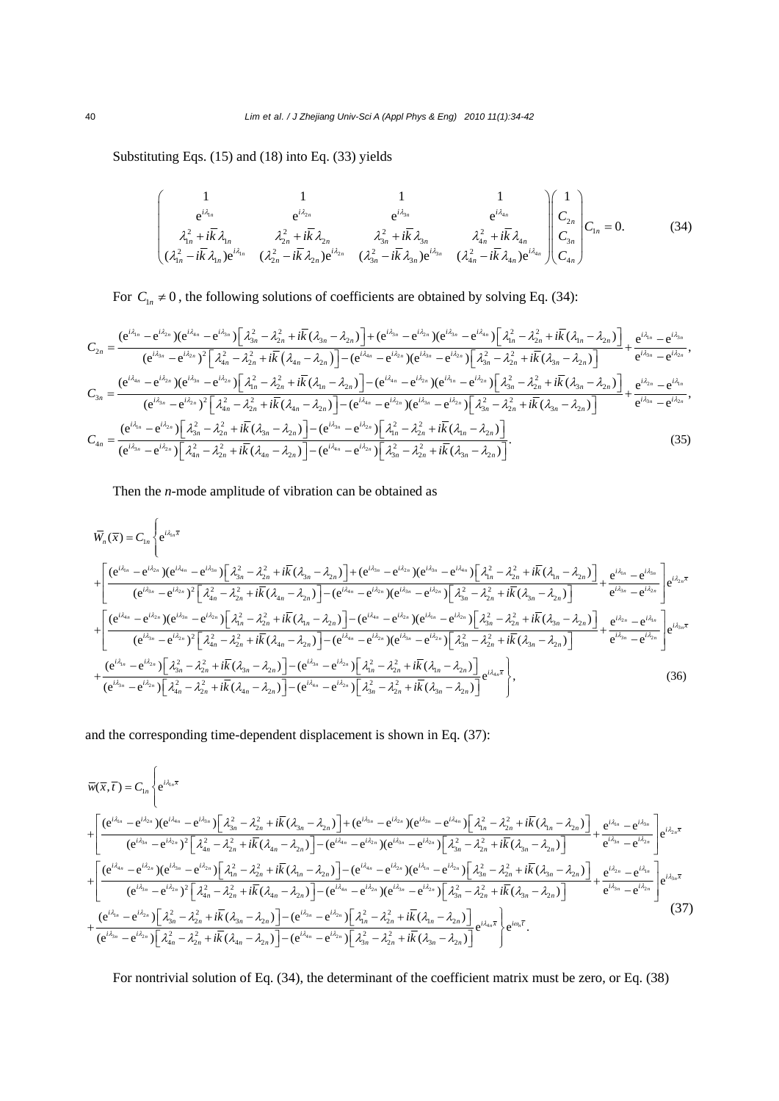Substituting Eqs. (15) and (18) into Eq. (33) yields

$$
\begin{pmatrix}\n1 & 1 & 1 & 1 \\
e^{i\lambda_{1n}} & e^{i\lambda_{2n}} & e^{i\lambda_{3n}} \\
\lambda_{1n}^2 + i\overline{k}\lambda_{1n} & \lambda_{2n}^2 + i\overline{k}\lambda_{2n} & \lambda_{3n}^2 + i\overline{k}\lambda_{3n} & \lambda_{4n}^2 + i\overline{k}\lambda_{4n} \\
(\lambda_{1n}^2 - i\overline{k}\lambda_{1n})e^{i\lambda_{1n}} & (\lambda_{2n}^2 - i\overline{k}\lambda_{2n})e^{i\lambda_{2n}} & (\lambda_{3n}^2 - i\overline{k}\lambda_{3n})e^{i\lambda_{3n}} & (\lambda_{4n}^2 - i\overline{k}\lambda_{4n})e^{i\lambda_{4n}}\n\end{pmatrix}\n\begin{pmatrix}\n1 \\
C_{2n} \\
C_{3n} \\
C_{4n}\n\end{pmatrix}\nC_{1n} = 0.
$$
\n(34)

For  $C_{1n} \neq 0$ , the following solutions of coefficients are obtained by solving Eq. (34):

$$
C_{2n} = \frac{(e^{i\lambda_{1n}} - e^{i\lambda_{2n}})(e^{i\lambda_{4n}} - e^{i\lambda_{3n}})\left[\lambda_{3n}^{2} - \lambda_{2n}^{2} + i\overline{k}(\lambda_{3n} - \lambda_{2n})\right] + (e^{i\lambda_{3n}} - e^{i\lambda_{2n}})(e^{i\lambda_{3n}} - e^{i\lambda_{4n}})\left[\lambda_{1n}^{2} - \lambda_{2n}^{2} + i\overline{k}(\lambda_{1n} - \lambda_{2n})\right]}{(e^{i\lambda_{3n}} - e^{i\lambda_{2n}})^{2}\left[\lambda_{4n}^{2} - \lambda_{2n}^{2} + i\overline{k}(\lambda_{4n} - \lambda_{2n})\right] - (e^{i\lambda_{4n}} - e^{i\lambda_{2n}})(e^{i\lambda_{3n}} - e^{i\lambda_{2n}})\left[\lambda_{3n}^{2} - \lambda_{2n}^{2} + i\overline{k}(\lambda_{3n} - \lambda_{2n})\right]} + \frac{e^{i\lambda_{1n}} - e^{i\lambda_{2n}}}{(e^{i\lambda_{3n}} - e^{i\lambda_{2n}})(e^{i\lambda_{3n}} - e^{i\lambda_{2n}})\left[\lambda_{4n}^{2} - \lambda_{2n}^{2} + i\overline{k}(\lambda_{1n} - \lambda_{2n})\right] - (e^{i\lambda_{4n}} - e^{i\lambda_{2n}})(e^{i\lambda_{4n}} - e^{i\lambda_{2n}})\left[\lambda_{3n}^{2} - \lambda_{2n}^{2} + i\overline{k}(\lambda_{3n} - \lambda_{2n})\right]} + \frac{e^{i\lambda_{2n}} - e^{i\lambda_{2n}}}{(e^{i\lambda_{3n}} - e^{i\lambda_{2n}})^{2}\left[\lambda_{4n}^{2} - \lambda_{2n}^{2} + i\overline{k}(\lambda_{4n} - \lambda_{2n})\right] - (e^{i\lambda_{4n}} - e^{i\lambda_{2n}})(e^{i\lambda_{4n}} - e^{i\lambda_{2n}})\left[\lambda_{3n}^{2} - \lambda_{2n}^{2} + i\overline{k}(\lambda_{3n} - \lambda_{2n})\right]} + \frac{e^{i\lambda_{2n}} - e^{i\lambda_{2n}}}{(e^{i\lambda_{3n}} - e^{i\lambda_{2n}})\left[\lambda_{4n}^{2} - \lambda_{2n
$$

Then the *n*-mode amplitude of vibration can be obtained as

$$
\overline{W}_{n}(\overline{x}) = C_{1n} \left\{ e^{i\lambda_{1n}\overline{x}} \right.
$$
\n
$$
+ \left[ \frac{(e^{i\lambda_{1n}} - e^{i\lambda_{2n}})(e^{i\lambda_{1n}} - e^{i\lambda_{2n}}) \left[ \lambda_{3n}^{2} - \lambda_{2n}^{2} + i\overline{k}(\lambda_{3n} - \lambda_{2n}) \right] + (e^{i\lambda_{3n}} - e^{i\lambda_{2n}})(e^{i\lambda_{3n}} - e^{i\lambda_{4n}}) \left[ \lambda_{1n}^{2} - \lambda_{2n}^{2} + i\overline{k}(\lambda_{1n} - \lambda_{2n}) \right]}{ (e^{i\lambda_{3n}} - e^{i\lambda_{2n}})^{2} \left[ \lambda_{4n}^{2} - \lambda_{2n}^{2} + i\overline{k}(\lambda_{4n} - \lambda_{2n}) \right] - (e^{i\lambda_{4n}} - e^{i\lambda_{2n}})(e^{i\lambda_{3n}} - e^{i\lambda_{2n}}) \left[ \lambda_{3n}^{2} - \lambda_{2n}^{2} + i\overline{k}(\lambda_{1n} - \lambda_{2n}) \right]} + \frac{e^{i\lambda_{1n}} - e^{i\lambda_{3n}}}{(e^{i\lambda_{3n}} - e^{i\lambda_{2n}})(e^{i\lambda_{3n}} - e^{i\lambda_{2n}}) \left[ \lambda_{1n}^{2} - \lambda_{2n}^{2} + i\overline{k}(\lambda_{1n} - \lambda_{2n}) \right] - (e^{i\lambda_{4n}} - e^{i\lambda_{2n}})(e^{i\lambda_{1n}} - e^{i\lambda_{2n}}) \left[ \lambda_{3n}^{2} - \lambda_{2n}^{2} + i\overline{k}(\lambda_{3n} - \lambda_{2n}) \right]} + \frac{e^{i\lambda_{1n}} - e^{i\lambda_{2n}}}{(e^{i\lambda_{3n}} - e^{i\lambda_{2n}})^{2} \left[ \lambda_{4n}^{2} - \lambda_{2n}^{2} + i\overline{k}(\lambda_{4n} - \lambda_{2n}) \right] - (e^{i\lambda_{4n}} - e^{i\lambda_{2n}})(e^{i\lambda_{1n}} - e^{i\lambda_{2n}}) \left[ \lambda_{3n}^{2} - \lambda_{2n}^{2} + i\overline{k}(\lambda_{3n} - \lambda_{2n}) \right
$$

and the corresponding time-dependent displacement is shown in Eq. (37):

$$
\overline{w}(\overline{x},\overline{t})=C_{1n}\left\{e^{i\lambda_{1n}\overline{x}}\right.\n+\left[\frac{(e^{i\lambda_{1n}}-e^{i\lambda_{2n}})(e^{i\lambda_{1n}}-e^{i\lambda_{2n}})\left[\lambda_{3n}^{2}-\lambda_{2n}^{2}+i\overline{k}(\lambda_{3n}-\lambda_{2n})\right]+(e^{i\lambda_{2n}}-e^{i\lambda_{2n}})(e^{i\lambda_{3n}}-e^{i\lambda_{4n}})\left[\lambda_{1n}^{2}-\lambda_{2n}^{2}+i\overline{k}(\lambda_{1n}-\lambda_{2n})\right]}{e^{i\lambda_{2n}}-e^{i\lambda_{2n}}\left[\lambda_{4n}^{2}-\lambda_{2n}^{2}+i\overline{k}(\lambda_{4n}-\lambda_{2n})\right]-(e^{i\lambda_{4n}}-e^{i\lambda_{2n}})(e^{i\lambda_{3n}}-e^{i\lambda_{2n}})\left[\lambda_{3n}^{2}-\lambda_{2n}^{2}+i\overline{k}(\lambda_{1n}-\lambda_{2n})\right]}+\frac{e^{i\lambda_{1n}}-e^{i\lambda_{2n}}}{e^{i\lambda_{3n}}-e^{i\lambda_{2n}}\left[e^{i\lambda_{2n}\overline{x}}\right]}e^{i\lambda_{2n}\overline{x}}\right\}
$$
\n
$$
+\left[\frac{(e^{i\lambda_{4n}}-e^{i\lambda_{2n}})(e^{i\lambda_{3n}}-e^{i\lambda_{2n}})\left[\lambda_{1n}^{2}-\lambda_{2n}^{2}+i\overline{k}(\lambda_{1n}-\lambda_{2n})\right]-(e^{i\lambda_{4n}}-e^{i\lambda_{2n}})(e^{i\lambda_{3n}}-e^{i\lambda_{2n}})\left[\lambda_{3n}^{2}-\lambda_{2n}^{2}+i\overline{k}(\lambda_{3n}-\lambda_{2n})\right]}{e^{i\lambda_{3n}}-e^{i\lambda_{2n}}\left[\lambda_{4n}^{2}-e^{i\lambda_{2n}}\right]^{2}\left[\lambda_{4n}^{2}-\lambda_{2n}^{2}+i\overline{k}(\lambda_{4n}-\lambda_{2n})\right]-(e^{i\lambda_{4n}}-e^{i\lambda_{2n}})(e^{i\lambda_{4n}}-e^{i\lambda_{2n}})\left[\lambda_{3n}^{2}-\lambda_{2n}^{2}+i
$$

For nontrivial solution of Eq. (34), the determinant of the coefficient matrix must be zero, or Eq. (38)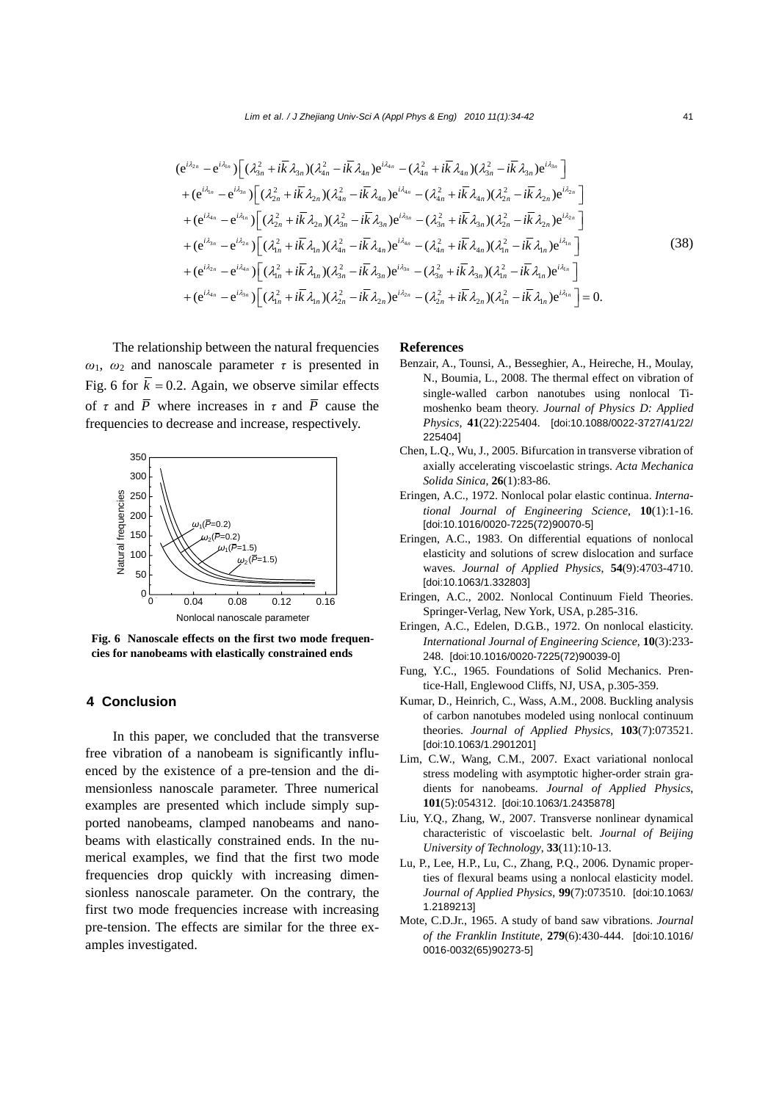$$
(e^{i\lambda_{2n}} - e^{i\lambda_{1n}}) \Big[ (\lambda_{3n}^2 + i\overline{k}\,\lambda_{3n}) (\lambda_{4n}^2 - i\overline{k}\,\lambda_{4n}) e^{i\lambda_{4n}} - (\lambda_{4n}^2 + i\overline{k}\,\lambda_{4n}) (\lambda_{3n}^2 - i\overline{k}\,\lambda_{3n}) e^{i\lambda_{3n}} \Big] + (e^{i\lambda_{1n}} - e^{i\lambda_{3n}}) \Big[ (\lambda_{2n}^2 + i\overline{k}\,\lambda_{2n}) (\lambda_{4n}^2 - i\overline{k}\,\lambda_{4n}) e^{i\lambda_{4n}} - (\lambda_{4n}^2 + i\overline{k}\,\lambda_{4n}) (\lambda_{2n}^2 - i\overline{k}\,\lambda_{2n}) e^{i\lambda_{2n}} \Big] + (e^{i\lambda_{4n}} - e^{i\lambda_{4n}}) \Big[ (\lambda_{2n}^2 + i\overline{k}\,\lambda_{2n}) (\lambda_{3n}^2 - i\overline{k}\,\lambda_{3n}) e^{i\lambda_{3n}} - (\lambda_{3n}^2 + i\overline{k}\,\lambda_{3n}) (\lambda_{2n}^2 - i\overline{k}\,\lambda_{2n}) e^{i\lambda_{2n}} \Big] + (e^{i\lambda_{3n}} - e^{i\lambda_{2n}}) \Big[ (\lambda_{1n}^2 + i\overline{k}\,\lambda_{1n}) (\lambda_{4n}^2 - i\overline{k}\,\lambda_{4n}) e^{i\lambda_{4n}} - (\lambda_{4n}^2 + i\overline{k}\,\lambda_{4n}) (\lambda_{1n}^2 - i\overline{k}\,\lambda_{1n}) e^{i\lambda_{4n}} \Big] + (e^{i\lambda_{2n}} - e^{i\lambda_{4n}}) \Big[ (\lambda_{1n}^2 + i\overline{k}\,\lambda_{1n}) (\lambda_{3n}^2 - i\overline{k}\,\lambda_{3n}) e^{i\lambda_{3n}} - (\lambda_{3n}^2 + i\overline{k}\,\lambda_{3n}) (\lambda_{1n}^2 - i\overline{k}\,\lambda_{1n}) e^{i\lambda_{1n}} \Big] + (e^{i\lambda_{2n}} - e^{i\lambda_{4n}}) \Big[ (\lambda_{1n}^2 + i\overline{k}\,\lambda_{1n}) (\lambda_{3n}^2 - i\overline{k}\,\lambda_{3n}) e^{i\lambda_{3n}} - (\lambda_{3n}^2 + i\overline{k}\,\lambda_{3
$$

The relationship between the natural frequencies  $ω_1$ ,  $ω_2$  and nanoscale parameter *τ* is presented in Fig. 6 for  $\overline{k} = 0.2$ . Again, we observe similar effects of  $\tau$  and  $\overline{P}$  where increases in  $\tau$  and  $\overline{P}$  cause the frequencies to decrease and increase, respectively.



**Fig. 6 Nanoscale effects on the first two mode frequencies for nanobeams with elastically constrained ends** 

## **4 Conclusion**

In this paper, we concluded that the transverse free vibration of a nanobeam is significantly influenced by the existence of a pre-tension and the dimensionless nanoscale parameter. Three numerical examples are presented which include simply supported nanobeams, clamped nanobeams and nanobeams with elastically constrained ends. In the numerical examples, we find that the first two mode frequencies drop quickly with increasing dimensionless nanoscale parameter. On the contrary, the first two mode frequencies increase with increasing pre-tension. The effects are similar for the three examples investigated.

#### **References**

- Benzair, A., Tounsi, A., Besseghier, A., Heireche, H., Moulay, N., Boumia, L., 2008. The thermal effect on vibration of single-walled carbon nanotubes using nonlocal Timoshenko beam theory. *Journal of Physics D: Applied Physics*, **41**(22):225404. [doi:10.1088/0022-3727/41/22/ 225404]
- Chen, L.Q., Wu, J., 2005. Bifurcation in transverse vibration of axially accelerating viscoelastic strings. *Acta Mechanica Solida Sinica*, **26**(1):83-86.
- Eringen, A.C., 1972. Nonlocal polar elastic continua. *International Journal of Engineering Science*, **10**(1):1-16. [doi:10.1016/0020-7225(72)90070-5]
- Eringen, A.C., 1983. On differential equations of nonlocal elasticity and solutions of screw dislocation and surface waves. *Journal of Applied Physics*, **54**(9):4703-4710. [doi:10.1063/1.332803]
- Eringen, A.C., 2002. Nonlocal Continuum Field Theories. Springer-Verlag, New York, USA, p.285-316.
- Eringen, A.C., Edelen, D.G.B., 1972. On nonlocal elasticity. *International Journal of Engineering Science*, **10**(3):233- 248. [doi:10.1016/0020-7225(72)90039-0]
- Fung, Y.C., 1965. Foundations of Solid Mechanics. Prentice-Hall, Englewood Cliffs, NJ, USA, p.305-359.
- Kumar, D., Heinrich, C., Wass, A.M., 2008. Buckling analysis of carbon nanotubes modeled using nonlocal continuum theories. *Journal of Applied Physics*, **103**(7):073521. [doi:10.1063/1.2901201]
- Lim, C.W., Wang, C.M., 2007. Exact variational nonlocal stress modeling with asymptotic higher-order strain gradients for nanobeams. *Journal of Applied Physics*, **101**(5):054312. [doi:10.1063/1.2435878]
- Liu, Y.Q., Zhang, W., 2007. Transverse nonlinear dynamical characteristic of viscoelastic belt. *Journal of Beijing University of Technology*, **33**(11):10-13.
- Lu, P., Lee, H.P., Lu, C., Zhang, P.Q., 2006. Dynamic properties of flexural beams using a nonlocal elasticity model. *Journal of Applied Physics*, **99**(7):073510. [doi:10.1063/ 1.2189213]
- Mote, C.D.Jr., 1965. A study of band saw vibrations. *Journal of the Franklin Institute*, **279**(6):430-444. [doi:10.1016/ 0016-0032(65)90273-5]